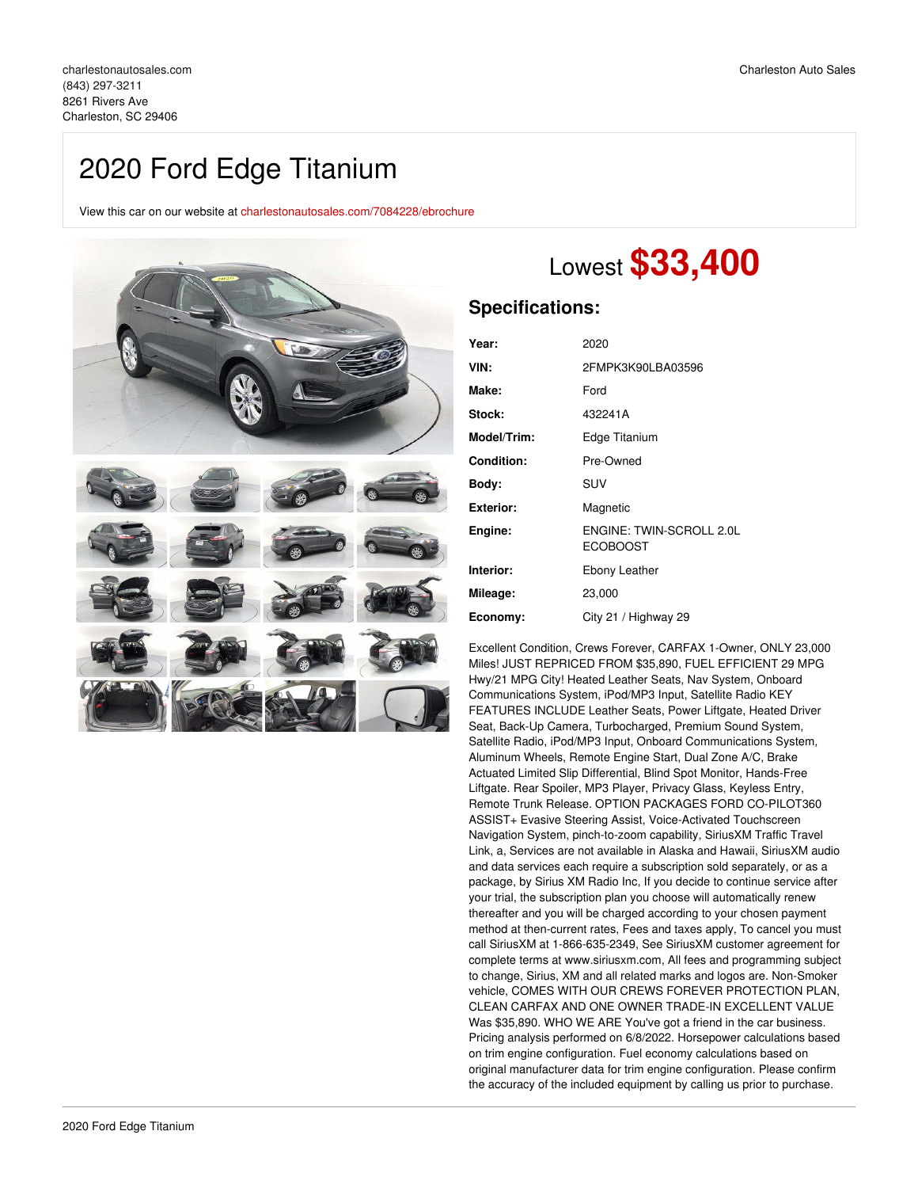## 2020 Ford Edge Titanium

View this car on our website at [charlestonautosales.com/7084228/ebrochure](https://charlestonautosales.com/vehicle/7084228/2020-ford-edge-titanium-charleston-sc-29406/7084228/ebrochure)



# Lowest **\$33,400**

### **Specifications:**

| Year:             | 2020                                        |
|-------------------|---------------------------------------------|
| VIN:              | 2FMPK3K90LBA03596                           |
| Make:             | Ford                                        |
| Stock:            | 432241A                                     |
| Model/Trim:       | Edge Titanium                               |
| <b>Condition:</b> | Pre-Owned                                   |
| Body:             | SUV                                         |
| <b>Exterior:</b>  | Magnetic                                    |
| Engine:           | ENGINE: TWIN-SCROLL 2.0L<br><b>ECOBOOST</b> |
| Interior:         | Ebony Leather                               |
| Mileage:          | 23,000                                      |
| Economy:          | City 21 / Highway 29                        |

Excellent Condition, Crews Forever, CARFAX 1-Owner, ONLY 23,000 Miles! JUST REPRICED FROM \$35,890, FUEL EFFICIENT 29 MPG Hwy/21 MPG City! Heated Leather Seats, Nav System, Onboard Communications System, iPod/MP3 Input, Satellite Radio KEY FEATURES INCLUDE Leather Seats, Power Liftgate, Heated Driver Seat, Back-Up Camera, Turbocharged, Premium Sound System, Satellite Radio, iPod/MP3 Input, Onboard Communications System, Aluminum Wheels, Remote Engine Start, Dual Zone A/C, Brake Actuated Limited Slip Differential, Blind Spot Monitor, Hands-Free Liftgate. Rear Spoiler, MP3 Player, Privacy Glass, Keyless Entry, Remote Trunk Release. OPTION PACKAGES FORD CO-PILOT360 ASSIST+ Evasive Steering Assist, Voice-Activated Touchscreen Navigation System, pinch-to-zoom capability, SiriusXM Traffic Travel Link, a, Services are not available in Alaska and Hawaii, SiriusXM audio and data services each require a subscription sold separately, or as a package, by Sirius XM Radio Inc, If you decide to continue service after your trial, the subscription plan you choose will automatically renew thereafter and you will be charged according to your chosen payment method at then-current rates, Fees and taxes apply, To cancel you must call SiriusXM at 1-866-635-2349, See SiriusXM customer agreement for complete terms at www.siriusxm.com, All fees and programming subject to change, Sirius, XM and all related marks and logos are. Non-Smoker vehicle, COMES WITH OUR CREWS FOREVER PROTECTION PLAN, CLEAN CARFAX AND ONE OWNER TRADE-IN EXCELLENT VALUE Was \$35,890. WHO WE ARE You've got a friend in the car business. Pricing analysis performed on 6/8/2022. Horsepower calculations based on trim engine configuration. Fuel economy calculations based on original manufacturer data for trim engine configuration. Please confirm the accuracy of the included equipment by calling us prior to purchase.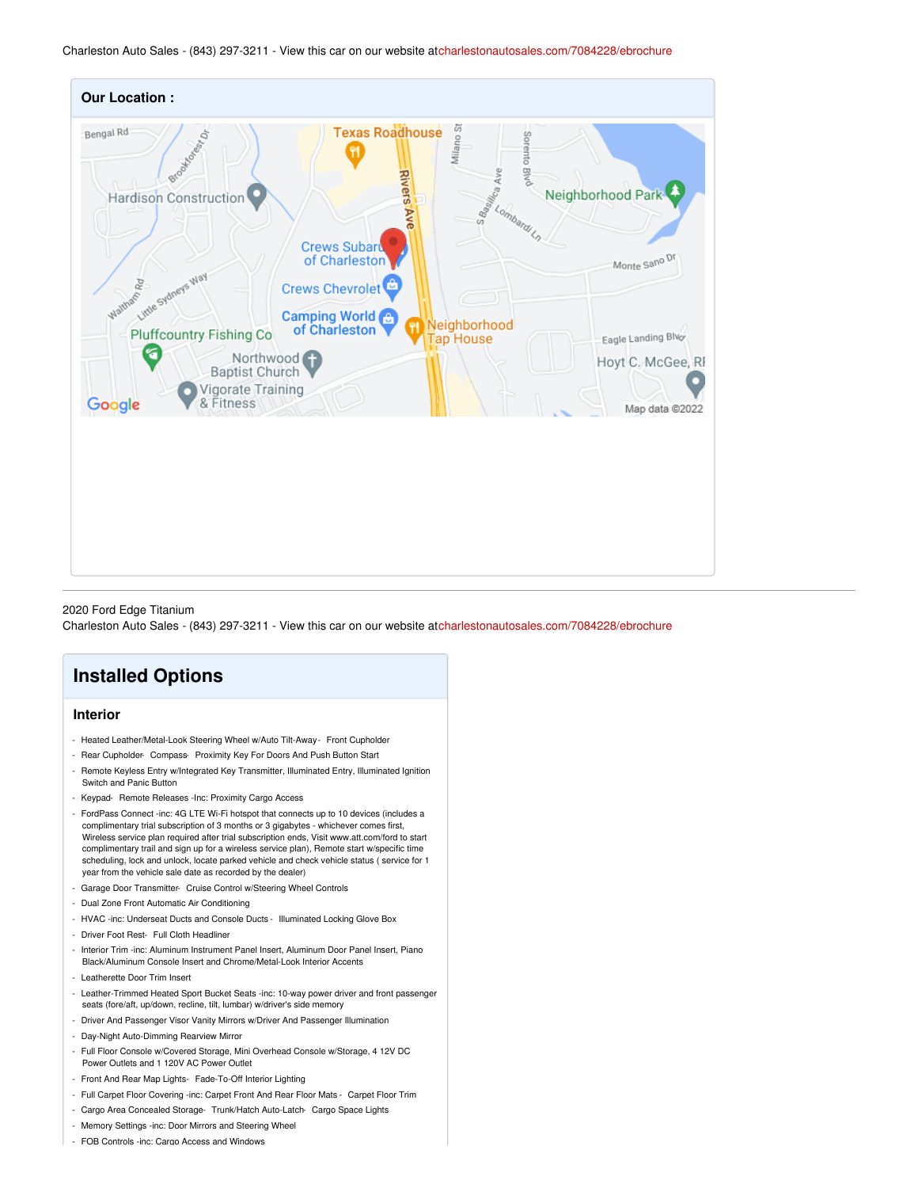

2020 Ford Edge Titanium

Charleston Auto Sales - (843) 297-3211 - View this car on our website a[tcharlestonautosales.com/7084228/ebrochure](https://charlestonautosales.com/vehicle/7084228/2020-ford-edge-titanium-charleston-sc-29406/7084228/ebrochure)

## **Installed Options**

#### **Interior**

- Heated Leather/Metal-Look Steering Wheel w/Auto Tilt-Away- Front Cupholder
- Rear Cupholder- Compass- Proximity Key For Doors And Push Button Start
- Remote Keyless Entry w/Integrated Key Transmitter, Illuminated Entry, Illuminated Ignition Switch and Panic Button
- Keypad- Remote Releases -Inc: Proximity Cargo Access
- FordPass Connect -inc: 4G LTE Wi-Fi hotspot that connects up to 10 devices (includes a complimentary trial subscription of 3 months or 3 gigabytes - whichever comes first, Wireless service plan required after trial subscription ends, Visit www.att.com/ford to start complimentary trail and sign up for a wireless service plan), Remote start w/specific time scheduling, lock and unlock, locate parked vehicle and check vehicle status ( service for 1 year from the vehicle sale date as recorded by the dealer)
- Garage Door Transmitter- Cruise Control w/Steering Wheel Controls
- Dual Zone Front Automatic Air Conditioning
- HVAC -inc: Underseat Ducts and Console Ducts Illuminated Locking Glove Box
- Driver Foot Rest- Full Cloth Headliner
- Interior Trim -inc: Aluminum Instrument Panel Insert, Aluminum Door Panel Insert, Piano Black/Aluminum Console Insert and Chrome/Metal-Look Interior Accents
- Leatherette Door Trim Insert
- Leather-Trimmed Heated Sport Bucket Seats -inc: 10-way power driver and front passenger seats (fore/aft, up/down, recline, tilt, lumbar) w/driver's side memory
- Driver And Passenger Visor Vanity Mirrors w/Driver And Passenger Illumination
- Day-Night Auto-Dimming Rearview Mirror
- Full Floor Console w/Covered Storage, Mini Overhead Console w/Storage, 4 12V DC Power Outlets and 1 120V AC Power Outlet
- Front And Rear Map Lights- Fade-To-Off Interior Lighting
- Full Carpet Floor Covering -inc: Carpet Front And Rear Floor Mats Carpet Floor Trim
- Cargo Area Concealed Storage- Trunk/Hatch Auto-Latch- Cargo Space Lights
- Memory Settings -inc: Door Mirrors and Steering Wheel
- FOB Controls -inc: Cargo Access and Windows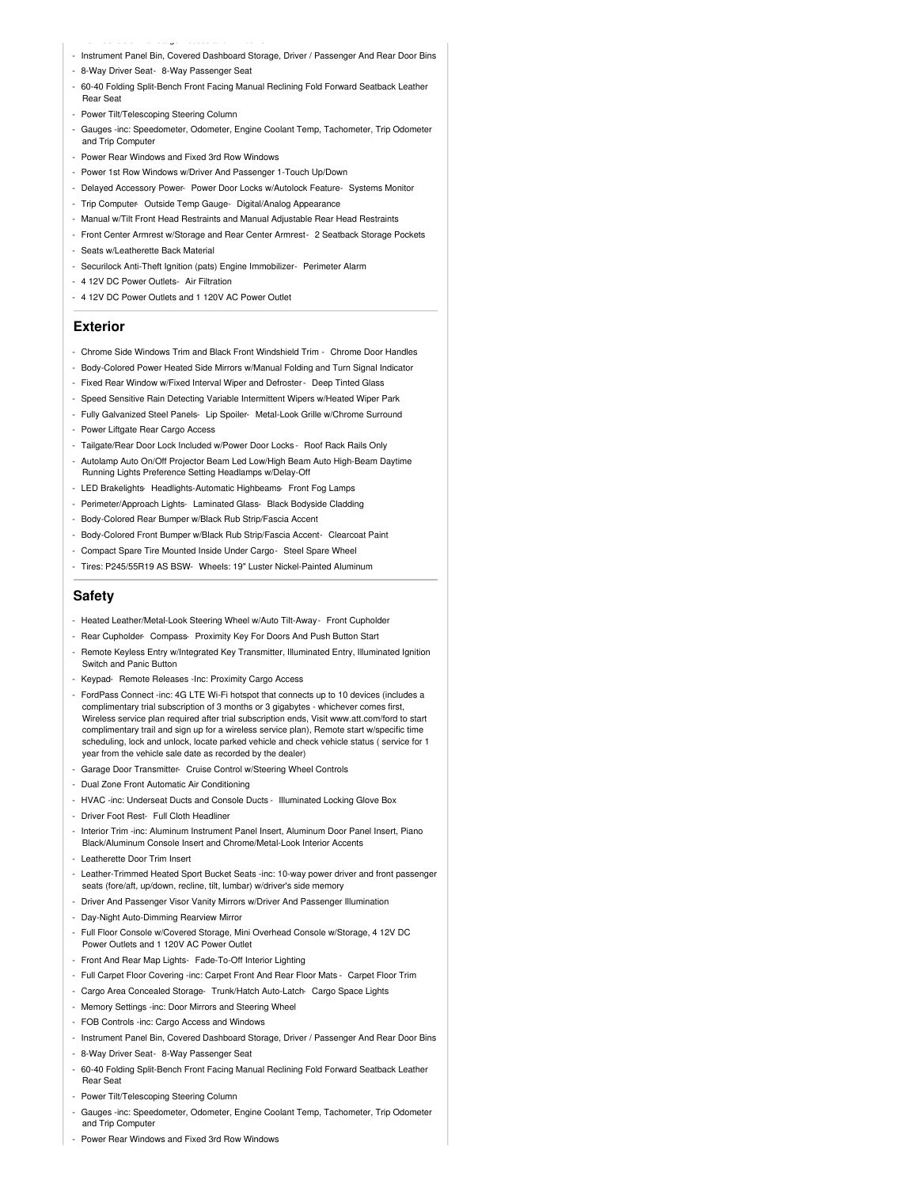- Instrument Panel Bin, Covered Dashboard Storage, Driver / Passenger And Rear Door Bins
- 8-Way Driver Seat- 8-Way Passenger Seat

- FOB Controls -inc: Cargo Access and Windows

- 60-40 Folding Split-Bench Front Facing Manual Reclining Fold Forward Seatback Leather Rear Seat
- Power Tilt/Telescoping Steering Column
- Gauges -inc: Speedometer, Odometer, Engine Coolant Temp, Tachometer, Trip Odometer and Trip Computer
- Power Rear Windows and Fixed 3rd Row Windows
- Power 1st Row Windows w/Driver And Passenger 1-Touch Up/Down
- Delayed Accessory Power- Power Door Locks w/Autolock Feature- Systems Monitor
- Trip Computer- Outside Temp Gauge- Digital/Analog Appearance
- Manual w/Tilt Front Head Restraints and Manual Adjustable Rear Head Restraints
- Front Center Armrest w/Storage and Rear Center Armrest- 2 Seatback Storage Pockets
- Seats w/Leatherette Back Material
- Securilock Anti-Theft Ignition (pats) Engine Immobilizer- Perimeter Alarm
- 4 12V DC Power Outlets- Air Filtration
- 4 12V DC Power Outlets and 1 120V AC Power Outlet

#### **Exterior**

- Chrome Side Windows Trim and Black Front Windshield Trim Chrome Door Handles
- Body-Colored Power Heated Side Mirrors w/Manual Folding and Turn Signal Indicator
- Fixed Rear Window w/Fixed Interval Wiper and Defroster- Deep Tinted Glass
- Speed Sensitive Rain Detecting Variable Intermittent Wipers w/Heated Wiper Park
- Fully Galvanized Steel Panels- Lip Spoiler- Metal-Look Grille w/Chrome Surround
- Power Liftgate Rear Cargo Access
- Tailgate/Rear Door Lock Included w/Power Door Locks Roof Rack Rails Only
- Autolamp Auto On/Off Projector Beam Led Low/High Beam Auto High-Beam Daytime Running Lights Preference Setting Headlamps w/Delay-Off
- LED Brakelights- Headlights-Automatic Highbeams- Front Fog Lamps
- Perimeter/Approach Lights- Laminated Glass- Black Bodyside Cladding
- Body-Colored Rear Bumper w/Black Rub Strip/Fascia Accent
- Body-Colored Front Bumper w/Black Rub Strip/Fascia Accent- Clearcoat Paint
- Compact Spare Tire Mounted Inside Under Cargo- Steel Spare Wheel
- Tires: P245/55R19 AS BSW- Wheels: 19" Luster Nickel-Painted Aluminum

#### **Safety**

- Heated Leather/Metal-Look Steering Wheel w/Auto Tilt-Away- Front Cupholder
- Rear Cupholder- Compass- Proximity Key For Doors And Push Button Start
- Remote Keyless Entry w/Integrated Key Transmitter, Illuminated Entry, Illuminated Ignition Switch and Panic Button
- Keypad- Remote Releases -Inc: Proximity Cargo Access
- FordPass Connect -inc: 4G LTE Wi-Fi hotspot that connects up to 10 devices (includes a complimentary trial subscription of 3 months or 3 gigabytes - whichever comes first, Wireless service plan required after trial subscription ends, Visit www.att.com/ford to start complimentary trail and sign up for a wireless service plan), Remote start w/specific time scheduling, lock and unlock, locate parked vehicle and check vehicle status ( service for 1 year from the vehicle sale date as recorded by the dealer)
- Garage Door Transmitter- Cruise Control w/Steering Wheel Controls
- Dual Zone Front Automatic Air Conditioning
- HVAC -inc: Underseat Ducts and Console Ducts Illuminated Locking Glove Box
- Driver Foot Rest- Full Cloth Headline
- Interior Trim -inc: Aluminum Instrument Panel Insert, Aluminum Door Panel Insert, Piano Black/Aluminum Console Insert and Chrome/Metal-Look Interior Accents
- Leatherette Door Trim Insert
- Leather-Trimmed Heated Sport Bucket Seats -inc: 10-way power driver and front passenger seats (fore/aft, up/down, recline, tilt, lumbar) w/driver's side memory
- Driver And Passenger Visor Vanity Mirrors w/Driver And Passenger Illumination
- Day-Night Auto-Dimming Rearview Mirror
- Full Floor Console w/Covered Storage, Mini Overhead Console w/Storage, 4 12V DC Power Outlets and 1 120V AC Power Outlet
- Front And Rear Map Lights- Fade-To-Off Interior Lighting
- Full Carpet Floor Covering -inc: Carpet Front And Rear Floor Mats Carpet Floor Trim
- Cargo Area Concealed Storage- Trunk/Hatch Auto-Latch- Cargo Space Lights
- Memory Settings -inc: Door Mirrors and Steering Wheel
- FOB Controls -inc: Cargo Access and Windows
- Instrument Panel Bin, Covered Dashboard Storage, Driver / Passenger And Rear Door Bins
- 8-Way Driver Seat- 8-Way Passenger Seat
- 60-40 Folding Split-Bench Front Facing Manual Reclining Fold Forward Seatback Leather Rear Seat
- Power Tilt/Telescoping Steering Column
- Gauges -inc: Speedometer, Odometer, Engine Coolant Temp, Tachometer, Trip Odometer and Trip Computer
- Power Rear Windows and Fixed 3rd Row Windows